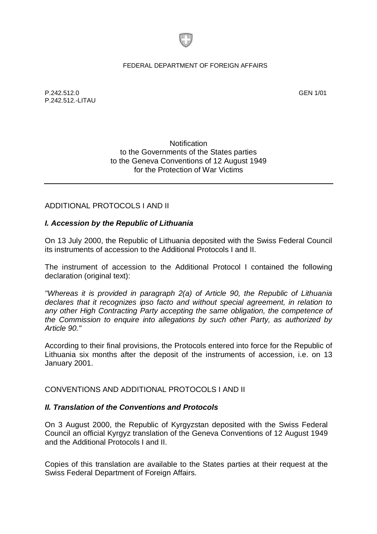

#### FEDERAL DEPARTMENT OF FOREIGN AFFAIRS

P.242.512.0 GEN 1/01 P.242.512.-LITAU

### **Notification** to the Governments of the States parties to the Geneva Conventions of 12 August 1949 for the Protection of War Victims

# ADDITIONAL PROTOCOLS I AND II

# *I. Accession by the Republic of Lithuania*

On 13 July 2000, the Republic of Lithuania deposited with the Swiss Federal Council its instruments of accession to the Additional Protocols I and II.

The instrument of accession to the Additional Protocol I contained the following declaration (original text):

*"Whereas it is provided in paragraph 2(a) of Article 90, the Republic of Lithuania declares that it recognizes ipso facto and without special agreement, in relation to any other High Contracting Party accepting the same obligation, the competence of the Commission to enquire into allegations by such other Party, as authorized by Article 90."* 

According to their final provisions, the Protocols entered into force for the Republic of Lithuania six months after the deposit of the instruments of accession, i.e. on 13 January 2001.

CONVENTIONS AND ADDITIONAL PROTOCOLS I AND II

# *II. Translation of the Conventions and Protocols*

On 3 August 2000, the Republic of Kyrgyzstan deposited with the Swiss Federal Council an official Kyrgyz translation of the Geneva Conventions of 12 August 1949 and the Additional Protocols I and II.

Copies of this translation are available to the States parties at their request at the Swiss Federal Department of Foreign Affairs.